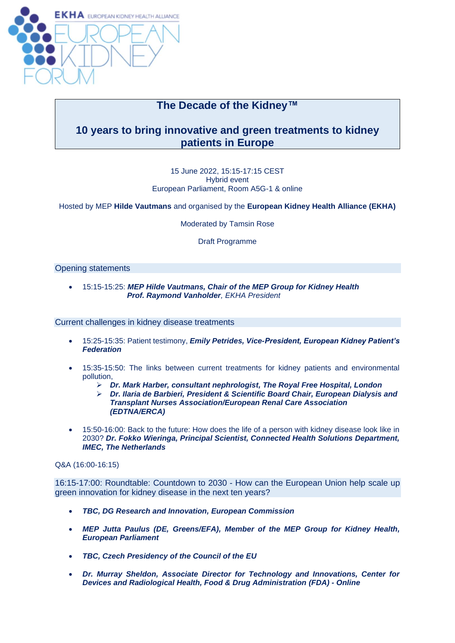

# **The Decade of the Kidney™**

## **10 years to bring innovative and green treatments to kidney patients in Europe**

#### 15 June 2022, 15:15-17:15 CEST Hybrid event European Parliament, Room A5G-1 & online

Hosted by MEP **Hilde Vautmans** and organised by the **European Kidney Health Alliance (EKHA)**

Moderated by Tamsin Rose

Draft Programme

#### Opening statements

• 15:15-15:25: *MEP Hilde Vautmans, Chair of the MEP Group for Kidney Health Prof. Raymond Vanholder, EKHA President*

Current challenges in kidney disease treatments

- 15:25-15:35: Patient testimony, *Emily Petrides, Vice-President, European Kidney Patient's Federation*
- 15:35-15:50: The links between current treatments for kidney patients and environmental pollution,
	- ➢ *Dr. Mark Harber, consultant nephrologist, The Royal Free Hospital, London*
	- ➢ *Dr. Ilaria de Barbieri, President & Scientific Board Chair, European Dialysis and Transplant Nurses Association/European Renal Care Association (EDTNA/ERCA)*
- 15:50-16:00: Back to the future: How does the life of a person with kidney disease look like in 2030? *Dr. Fokko Wieringa, Principal Scientist, Connected Health Solutions Department, IMEC, The Netherlands*

Q&A (16:00-16:15)

16:15-17:00: Roundtable: Countdown to 2030 - How can the European Union help scale up green innovation for kidney disease in the next ten years?

- *TBC, DG Research and Innovation, European Commission*
- *MEP Jutta Paulus (DE, Greens/EFA), Member of the MEP Group for Kidney Health, European Parliament*
- *TBC, Czech Presidency of the Council of the EU*
- *Dr. Murray Sheldon, Associate Director for Technology and Innovations, Center for Devices and Radiological Health, Food & Drug Administration (FDA) - Online*